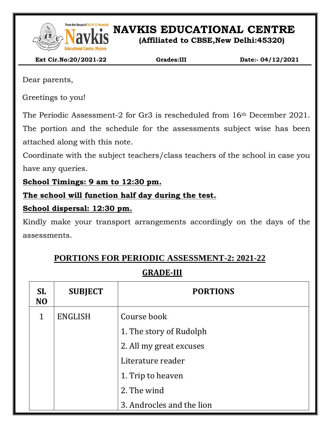

From the House of Sri. M. S. Ramaidah<br>**NAVEL SET ON AVIAGES** EDUCATIONAL CENTRE

**(Affiliated to CBSE,New Delhi:45320)**

 **Ext Cir.No:20/2021-22 Grades:III Date:- 04/12/2021**

Dear parents,

Greetings to you!

The Periodic Assessment-2 for Gr3 is rescheduled from 16th December 2021.

The portion and the schedule for the assessments subject wise has been attached along with this note.

Coordinate with the subject teachers/class teachers of the school in case you have any queries.

**School Timings: 9 am to 12:30 pm.**

**The school will function half day during the test.**

### **School dispersal: 12:30 pm.**

Kindly make your transport arrangements accordingly on the days of the assessments.

# **PORTIONS FOR PERIODIC ASSESSMENT-2: 2021-22**

## **GRADE-III**

| <b>SL</b><br>N <sub>O</sub> | <b>SUBJECT</b> | <b>PORTIONS</b>           |  |  |
|-----------------------------|----------------|---------------------------|--|--|
| 1                           | <b>ENGLISH</b> | Course book               |  |  |
|                             |                | 1. The story of Rudolph   |  |  |
|                             |                | 2. All my great excuses   |  |  |
|                             |                | Literature reader         |  |  |
|                             |                | 1. Trip to heaven         |  |  |
|                             |                | 2. The wind               |  |  |
|                             |                | 3. Androcles and the lion |  |  |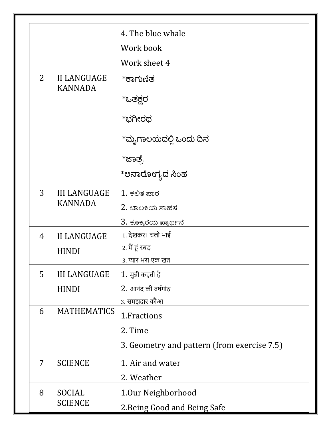|                |                                      | 4. The blue whale                           |
|----------------|--------------------------------------|---------------------------------------------|
|                |                                      | Work book                                   |
|                |                                      | Work sheet 4                                |
| $\overline{2}$ | <b>II LANGUAGE</b><br><b>KANNADA</b> | *ಕಾಗುಣಿತ                                    |
|                |                                      | *ಒತಕ್ಷರ                                     |
|                |                                      | *ಭಗೀರಥ                                      |
|                |                                      | *ಮೃಗಾಲಯದಲ್ಲಿ ಒಂದು ದಿನ                       |
|                |                                      | *ಜಾತ್ರ                                      |
|                |                                      | *ಅನಾರೋಗ್ಯದ ಸಿಂಹ                             |
| 3              | <b>III LANGUAGE</b>                  | $1.$ ಕಲಿತ ಪಾಠ                               |
|                | <b>KANNADA</b>                       | 2. ಬಾಲಕಿಯ ಸಾಹಸ                              |
|                |                                      | 3. ಕೊಕ್ಕರೆಯ ಪ್ರಾರ್ಥನೆ                       |
| 4              | <b>II LANGUAGE</b>                   | 1. देखकर। चलो भाई                           |
|                | <b>HINDI</b>                         | 2. मैं हूं रबड़                             |
|                |                                      | 3. प्यार भरा एक खत                          |
| 5 <sup>1</sup> | <b>III LANGUAGE</b>                  | 1. मुन्नी कहती है                           |
|                | <b>HINDI</b>                         | 2. आनंद की वर्षगांठ                         |
|                |                                      | <u>3. समझ</u> दार कौआ                       |
| 6              | <b>MATHEMATICS</b>                   | 1. Fractions                                |
|                |                                      | 2. Time                                     |
|                |                                      | 3. Geometry and pattern (from exercise 7.5) |
| 7              | <b>SCIENCE</b>                       | 1. Air and water                            |
|                |                                      | 2. Weather                                  |
| 8              | SOCIAL                               | 1.0ur Neighborhood                          |
|                | <b>SCIENCE</b>                       | 2. Being Good and Being Safe                |